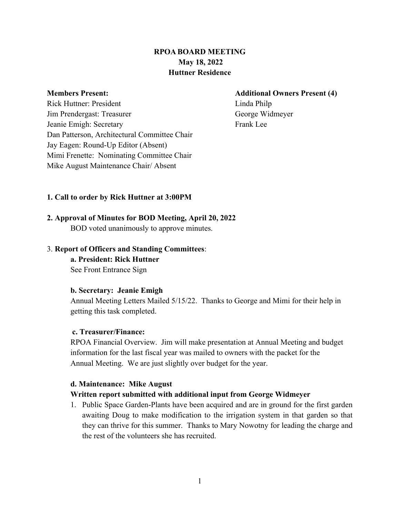# **RPOA BOARD MEETING May 18, 2022 Huttner Residence**

#### **Members Present: Additional Owners Present (4)**

Rick Huttner: President Linda Philp Jim Prendergast: Treasurer George Widmeyer Jeanie Emigh: Secretary Frank Lee Dan Patterson, Architectural Committee Chair Jay Eagen: Round-Up Editor (Absent) Mimi Frenette: Nominating Committee Chair Mike August Maintenance Chair/ Absent

## **1. Call to order by Rick Huttner at 3:00PM**

# **2. Approval of Minutes for BOD Meeting, April 20, 2022** BOD voted unanimously to approve minutes.

## 3. **Report of Officers and Standing Committees**:

**a. President: Rick Huttner** See Front Entrance Sign

## **b. Secretary: Jeanie Emigh**

Annual Meeting Letters Mailed 5/15/22. Thanks to George and Mimi for their help in getting this task completed.

## **c. Treasurer/Finance:**

RPOA Financial Overview. Jim will make presentation at Annual Meeting and budget information for the last fiscal year was mailed to owners with the packet for the Annual Meeting. We are just slightly over budget for the year.

## **d. Maintenance: Mike August**

# **Written report submitted with additional input from George Widmeyer**

1. Public Space Garden-Plants have been acquired and are in ground for the first garden awaiting Doug to make modification to the irrigation system in that garden so that they can thrive for this summer. Thanks to Mary Nowotny for leading the charge and the rest of the volunteers she has recruited.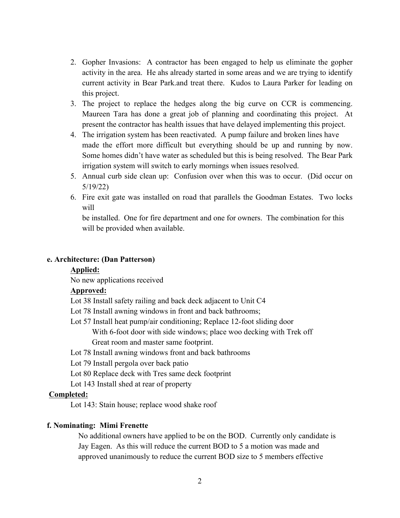- 2. Gopher Invasions: A contractor has been engaged to help us eliminate the gopher activity in the area. He ahs already started in some areas and we are trying to identify current activity in Bear Park.and treat there. Kudos to Laura Parker for leading on this project.
- 3. The project to replace the hedges along the big curve on CCR is commencing. Maureen Tara has done a great job of planning and coordinating this project. At present the contractor has health issues that have delayed implementing this project.
- 4. The irrigation system has been reactivated. A pump failure and broken lines have made the effort more difficult but everything should be up and running by now. Some homes didn't have water as scheduled but this is being resolved. The Bear Park irrigation system will switch to early mornings when issues resolved.
- 5. Annual curb side clean up: Confusion over when this was to occur. (Did occur on 5/19/22)
- 6. Fire exit gate was installed on road that parallels the Goodman Estates. Two locks will

be installed. One for fire department and one for owners. The combination for this will be provided when available.

#### **e. Architecture: (Dan Patterson)**

#### **Applied:**

No new applications received

#### **Approved:**

- Lot 38 Install safety railing and back deck adjacent to Unit C4
- Lot 78 Install awning windows in front and back bathrooms;
- Lot 57 Install heat pump/air conditioning; Replace 12-foot sliding door With 6-foot door with side windows; place woo decking with Trek off Great room and master same footprint.
- Lot 78 Install awning windows front and back bathrooms
- Lot 79 Install pergola over back patio
- Lot 80 Replace deck with Tres same deck footprint
- Lot 143 Install shed at rear of property

## **Completed:**

Lot 143: Stain house; replace wood shake roof

#### **f. Nominating: Mimi Frenette**

No additional owners have applied to be on the BOD. Currently only candidate is Jay Eagen. As this will reduce the current BOD to 5 a motion was made and approved unanimously to reduce the current BOD size to 5 members effective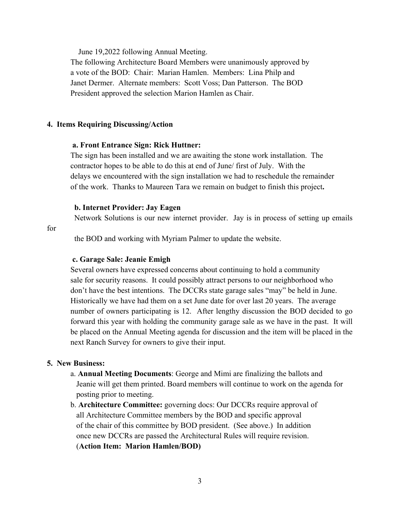June 19,2022 following Annual Meeting.

The following Architecture Board Members were unanimously approved by a vote of the BOD: Chair: Marian Hamlen. Members: Lina Philp and Janet Dermer. Alternate members: Scott Voss; Dan Patterson. The BOD President approved the selection Marion Hamlen as Chair.

#### **4. Items Requiring Discussing/Action**

#### **a. Front Entrance Sign: Rick Huttner:**

The sign has been installed and we are awaiting the stone work installation. The contractor hopes to be able to do this at end of June/ first of July. With the delays we encountered with the sign installation we had to reschedule the remainder of the work. Thanks to Maureen Tara we remain on budget to finish this project**.** 

#### **b. Internet Provider: Jay Eagen**

Network Solutions is our new internet provider. Jay is in process of setting up emails

#### for

the BOD and working with Myriam Palmer to update the website.

#### **c. Garage Sale: Jeanie Emigh**

Several owners have expressed concerns about continuing to hold a community sale for security reasons. It could possibly attract persons to our neighborhood who don't have the best intentions. The DCCRs state garage sales "may" be held in June. Historically we have had them on a set June date for over last 20 years. The average number of owners participating is 12. After lengthy discussion the BOD decided to go forward this year with holding the community garage sale as we have in the past. It will be placed on the Annual Meeting agenda for discussion and the item will be placed in the next Ranch Survey for owners to give their input.

#### **5. New Business:**

- a. **Annual Meeting Documents**: George and Mimi are finalizing the ballots and Jeanie will get them printed. Board members will continue to work on the agenda for posting prior to meeting.
- b. **Architecture Committee:** governing docs: Our DCCRs require approval of all Architecture Committee members by the BOD and specific approval of the chair of this committee by BOD president. (See above.) In addition once new DCCRs are passed the Architectural Rules will require revision. (**Action Item: Marion Hamlen/BOD)**